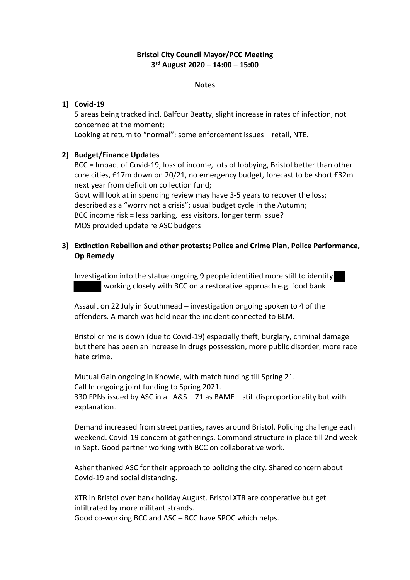# **Bristol City Council Mayor/PCC Meeting 3rd August 2020 – 14:00 – 15:00**

#### **Notes**

## **1) Covid-19**

5 areas being tracked incl. Balfour Beatty, slight increase in rates of infection, not concerned at the moment;

Looking at return to "normal"; some enforcement issues – retail, NTE.

## **2) Budget/Finance Updates**

BCC = Impact of Covid-19, loss of income, lots of lobbying, Bristol better than other core cities, £17m down on 20/21, no emergency budget, forecast to be short £32m next year from deficit on collection fund;

Govt will look at in spending review may have 3-5 years to recover the loss; described as a "worry not a crisis"; usual budget cycle in the Autumn; BCC income risk = less parking, less visitors, longer term issue? MOS provided update re ASC budgets

## **3) Extinction Rebellion and other protests; Police and Crime Plan, Police Performance, Op Remedy**

Investigation into the statue ongoing 9 people identified more still to identify working closely with BCC on a restorative approach e.g. food bank

Assault on 22 July in Southmead – investigation ongoing spoken to 4 of the offenders. A march was held near the incident connected to BLM.

Bristol crime is down (due to Covid-19) especially theft, burglary, criminal damage but there has been an increase in drugs possession, more public disorder, more race hate crime.

Mutual Gain ongoing in Knowle, with match funding till Spring 21. Call In ongoing joint funding to Spring 2021. 330 FPNs issued by ASC in all A&S – 71 as BAME – still disproportionality but with explanation.

Demand increased from street parties, raves around Bristol. Policing challenge each weekend. Covid-19 concern at gatherings. Command structure in place till 2nd week in Sept. Good partner working with BCC on collaborative work.

Asher thanked ASC for their approach to policing the city. Shared concern about Covid-19 and social distancing.

XTR in Bristol over bank holiday August. Bristol XTR are cooperative but get infiltrated by more militant strands. Good co-working BCC and ASC – BCC have SPOC which helps.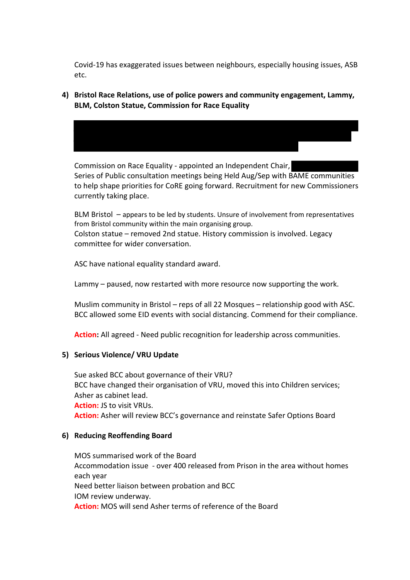Covid-19 has exaggerated issues between neighbours, especially housing issues, ASB etc.

**4) Bristol Race Relations, use of police powers and community engagement, Lammy, BLM, Colston Statue, Commission for Race Equality**



Commission on Race Equality - appointed an Independent Chair, Series of Public consultation meetings being Held Aug/Sep with BAME communities to help shape priorities for CoRE going forward. Recruitment for new Commissioners currently taking place.

BLM Bristol – appears to be led by students. Unsure of involvement from representatives from Bristol community within the main organising group. Colston statue – removed 2nd statue. History commission is involved. Legacy committee for wider conversation.

ASC have national equality standard award.

Lammy – paused, now restarted with more resource now supporting the work.

Muslim community in Bristol – reps of all 22 Mosques – relationship good with ASC. BCC allowed some EID events with social distancing. Commend for their compliance.

**Action:** All agreed - Need public recognition for leadership across communities.

## **5) Serious Violence/ VRU Update**

Sue asked BCC about governance of their VRU? BCC have changed their organisation of VRU, moved this into Children services; Asher as cabinet lead. **Action:** JS to visit VRUs. **Action:** Asher will review BCC's governance and reinstate Safer Options Board

## **6) Reducing Reoffending Board**

MOS summarised work of the Board Accommodation issue - over 400 released from Prison in the area without homes each year Need better liaison between probation and BCC IOM review underway. **Action:** MOS will send Asher terms of reference of the Board